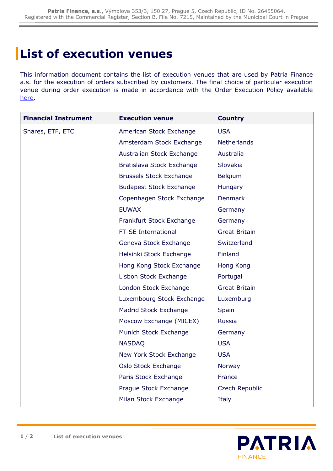## **List of execution venues**

This information document contains the list of execution venues that are used by Patria Finance a.s. for the execution of orders subscribed by customers. The final choice of particular execution venue during order execution is made in accordance with the Order Execution Policy available [here.](https://cdn.patria.cz/Informace-o-pravidlech-provadeni-pokynu.en.pdf)

| <b>Financial Instrument</b> | <b>Execution venue</b>         | <b>Country</b>       |
|-----------------------------|--------------------------------|----------------------|
| Shares, ETF, ETC            | American Stock Exchange        | <b>USA</b>           |
|                             | Amsterdam Stock Exchange       | <b>Netherlands</b>   |
|                             | Australian Stock Exchange      | Australia            |
|                             | Bratislava Stock Exchange      | Slovakia             |
|                             | <b>Brussels Stock Exchange</b> | <b>Belgium</b>       |
|                             | <b>Budapest Stock Exchange</b> | Hungary              |
|                             | Copenhagen Stock Exchange      | <b>Denmark</b>       |
|                             | <b>EUWAX</b>                   | Germany              |
|                             | Frankfurt Stock Exchange       | Germany              |
|                             | FT-SE International            | <b>Great Britain</b> |
|                             | Geneva Stock Exchange          | Switzerland          |
|                             | Helsinki Stock Exchange        | Finland              |
|                             | Hong Kong Stock Exchange       | Hong Kong            |
|                             | Lisbon Stock Exchange          | Portugal             |
|                             | London Stock Exchange          | <b>Great Britain</b> |
|                             | Luxembourg Stock Exchange      | Luxemburg            |
|                             | Madrid Stock Exchange          | Spain                |
|                             | Moscow Exchange (MICEX)        | <b>Russia</b>        |
|                             | Munich Stock Exchange          | Germany              |
|                             | <b>NASDAQ</b>                  | <b>USA</b>           |
|                             | New York Stock Exchange        | <b>USA</b>           |
|                             | Oslo Stock Exchange            | Norway               |
|                             | Paris Stock Exchange           | France               |
|                             | Prague Stock Exchange          | Czech Republic       |
|                             | Milan Stock Exchange           | Italy                |